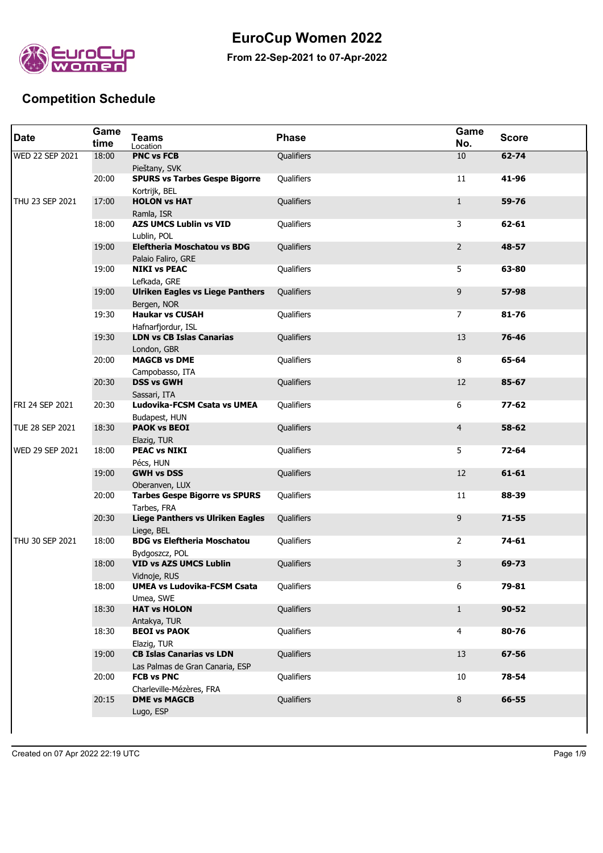

## **EuroCup Women 2022**

**From 22-Sep-2021 to 07-Apr-2022**

## **Competition Schedule**

| <b>Date</b>            | Game<br>time | <b>Teams</b><br>Location                                           | <b>Phase</b> | Game<br>No.    | <b>Score</b> |
|------------------------|--------------|--------------------------------------------------------------------|--------------|----------------|--------------|
| <b>WED 22 SEP 2021</b> | 18:00        | <b>PNC vs FCB</b><br>Pieštany, SVK                                 | Qualifiers   | 10             | $62 - 74$    |
|                        | 20:00        | <b>SPURS vs Tarbes Gespe Bigorre</b><br>Kortrijk, BEL              | Qualifiers   | 11             | 41-96        |
| THU 23 SEP 2021        | 17:00        | <b>HOLON vs HAT</b><br>Ramla, ISR                                  | Qualifiers   | $\mathbf{1}$   | 59-76        |
|                        | 18:00        | <b>AZS UMCS Lublin vs VID</b><br>Lublin, POL                       | Qualifiers   | 3              | 62-61        |
|                        | 19:00        | <b>Eleftheria Moschatou vs BDG</b><br>Palaio Faliro, GRE           | Qualifiers   | 2              | 48-57        |
|                        | 19:00        | <b>NIKI vs PEAC</b><br>Lefkada, GRE                                | Qualifiers   | 5              | 63-80        |
|                        | 19:00        | <b>Ulriken Eagles vs Liege Panthers</b><br>Bergen, NOR             | Qualifiers   | 9              | 57-98        |
|                        | 19:30        | <b>Haukar vs CUSAH</b><br>Hafnarfjordur, ISL                       | Qualifiers   | 7              | $81 - 76$    |
|                        | 19:30        | <b>LDN vs CB Islas Canarias</b><br>London, GBR                     | Qualifiers   | 13             | 76-46        |
|                        | 20:00        | <b>MAGCB vs DME</b><br>Campobasso, ITA                             | Qualifiers   | 8              | 65-64        |
|                        | 20:30        | <b>DSS vs GWH</b><br>Sassari, ITA                                  | Qualifiers   | 12             | 85-67        |
| FRI 24 SEP 2021        | 20:30        | Ludovika-FCSM Csata vs UMEA<br>Budapest, HUN                       | Qualifiers   | 6              | $77 - 62$    |
| TUE 28 SEP 2021        | 18:30        | <b>PAOK vs BEOI</b><br>Elazig, TUR                                 | Qualifiers   | $\overline{4}$ | 58-62        |
| WED 29 SEP 2021        | 18:00        | <b>PEAC vs NIKI</b><br>Pécs, HUN                                   | Qualifiers   | 5              | $72 - 64$    |
|                        | 19:00        | <b>GWH vs DSS</b><br>Oberanven, LUX                                | Qualifiers   | 12             | $61 - 61$    |
|                        | 20:00        | <b>Tarbes Gespe Bigorre vs SPURS</b><br>Tarbes, FRA                | Qualifiers   | 11             | 88-39        |
|                        | 20:30        | <b>Liege Panthers vs Ulriken Eagles</b><br>Liege, BEL              | Qualifiers   | 9              | $71 - 55$    |
| THU 30 SEP 2021        | 18:00        | <b>BDG vs Eleftheria Moschatou</b><br>Bydgoszcz, POL               | Qualifiers   | 2              | 74-61        |
|                        | 18:00        | <b>VID vs AZS UMCS Lublin</b><br>Vidnoje, RUS                      | Qualifiers   | 3              | 69-73        |
|                        | 18:00        | <b>UMEA vs Ludovika-FCSM Csata</b><br>Umea, SWE                    | Qualifiers   | 6              | 79-81        |
|                        | 18:30        | <b>HAT vs HOLON</b><br>Antakya, TUR                                | Qualifiers   | $\mathbf{1}$   | $90 - 52$    |
|                        | 18:30        | <b>BEOI vs PAOK</b><br>Elazig, TUR                                 | Qualifiers   | 4              | 80-76        |
|                        | 19:00        | <b>CB Islas Canarias vs LDN</b><br>Las Palmas de Gran Canaria, ESP | Qualifiers   | 13             | 67-56        |
|                        | 20:00        | <b>FCB vs PNC</b><br>Charleville-Mézères, FRA                      | Qualifiers   | 10             | 78-54        |
|                        | 20:15        | <b>DME vs MAGCB</b><br>Lugo, ESP                                   | Qualifiers   | 8              | 66-55        |
|                        |              |                                                                    |              |                |              |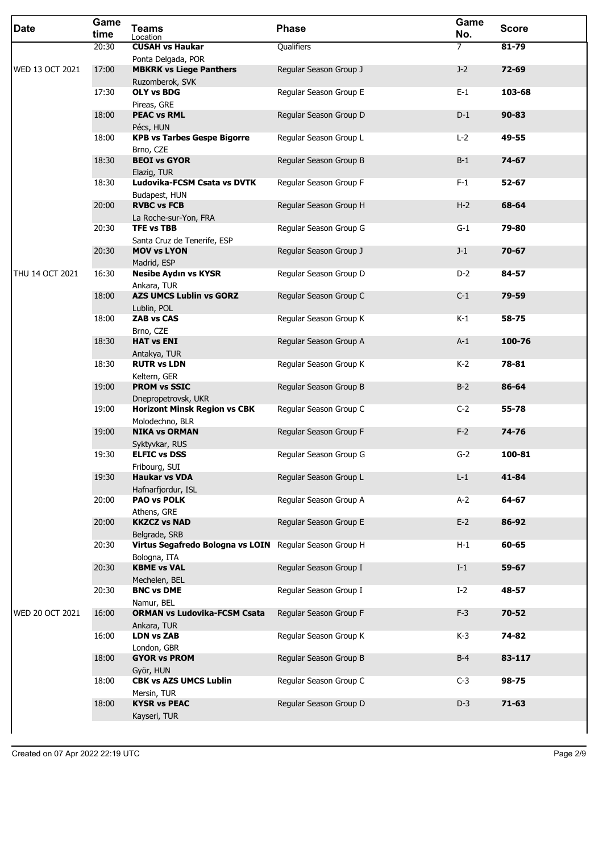| <b>Date</b>            | Game<br>time | <b>Teams</b><br>Location                                                 | <b>Phase</b>           | Game<br>No.    | <b>Score</b> |
|------------------------|--------------|--------------------------------------------------------------------------|------------------------|----------------|--------------|
|                        | 20:30        | <b>CUSAH vs Haukar</b>                                                   | Qualifiers             | $\overline{7}$ | 81-79        |
| WED 13 OCT 2021        | 17:00        | Ponta Delgada, POR<br><b>MBKRK vs Liege Panthers</b>                     |                        | $J-2$          | $72 - 69$    |
|                        |              | Ruzomberok, SVK                                                          | Regular Season Group J |                |              |
|                        | 17:30        | <b>OLY vs BDG</b>                                                        | Regular Season Group E | $E-1$          | 103-68       |
|                        |              | Pireas, GRE                                                              |                        |                |              |
|                        | 18:00        | <b>PEAC vs RML</b><br>Pécs, HUN                                          | Regular Season Group D | $D-1$          | $90 - 83$    |
|                        | 18:00        | <b>KPB vs Tarbes Gespe Bigorre</b><br>Brno, CZE                          | Regular Season Group L | $L-2$          | 49-55        |
|                        | 18:30        | <b>BEOI vs GYOR</b><br>Elazig, TUR                                       | Regular Season Group B | $B-1$          | 74-67        |
|                        | 18:30        | Ludovika-FCSM Csata vs DVTK<br>Budapest, HUN                             | Regular Season Group F | $F-1$          | 52-67        |
|                        | 20:00        | <b>RVBC vs FCB</b><br>La Roche-sur-Yon, FRA                              | Regular Season Group H | $H-2$          | 68-64        |
|                        | 20:30        | <b>TFE vs TBB</b><br>Santa Cruz de Tenerife, ESP                         | Regular Season Group G | $G-1$          | 79-80        |
|                        | 20:30        | <b>MOV vs LYON</b><br>Madrid, ESP                                        | Regular Season Group J | $J-1$          | $70 - 67$    |
| THU 14 OCT 2021        | 16:30        | <b>Nesibe Aydın vs KYSR</b><br>Ankara, TUR                               | Regular Season Group D | $D-2$          | 84-57        |
|                        | 18:00        | <b>AZS UMCS Lublin vs GORZ</b><br>Lublin, POL                            | Regular Season Group C | $C-1$          | 79-59        |
|                        | 18:00        | <b>ZAB vs CAS</b><br>Brno, CZE                                           | Regular Season Group K | $K-1$          | 58-75        |
|                        | 18:30        | <b>HAT vs ENI</b><br>Antakya, TUR                                        | Regular Season Group A | $A-1$          | 100-76       |
|                        | 18:30        | <b>RUTR vs LDN</b>                                                       | Regular Season Group K | K-2            | 78-81        |
|                        | 19:00        | Keltern, GER<br><b>PROM vs SSIC</b>                                      | Regular Season Group B | $B-2$          | 86-64        |
|                        | 19:00        | Dnepropetrovsk, UKR<br><b>Horizont Minsk Region vs CBK</b>               | Regular Season Group C | $C-2$          | 55-78        |
|                        | 19:00        | Molodechno, BLR<br><b>NIKA vs ORMAN</b>                                  | Regular Season Group F | $F-2$          | 74-76        |
|                        | 19:30        | Syktyvkar, RUS<br><b>ELFIC vs DSS</b>                                    | Regular Season Group G | $G-2$          | 100-81       |
|                        | 19:30        | Fribourg, SUI<br><b>Haukar vs VDA</b>                                    | Regular Season Group L | $L-1$          | 41-84        |
|                        | 20:00        | Hafnarfjordur, ISL<br><b>PAO vs POLK</b>                                 | Regular Season Group A | $A-2$          | 64-67        |
|                        | 20:00        | Athens, GRE<br><b>KKZCZ vs NAD</b>                                       | Regular Season Group E | $E-2$          | 86-92        |
|                        | 20:30        | Belgrade, SRB<br>Virtus Segafredo Bologna vs LOIN Regular Season Group H |                        | $H-1$          | 60-65        |
|                        | 20:30        | Bologna, ITA<br><b>KBME vs VAL</b>                                       | Regular Season Group I | $I-1$          | 59-67        |
|                        | 20:30        | Mechelen, BEL<br><b>BNC vs DME</b>                                       | Regular Season Group I | $I-2$          | 48-57        |
| <b>WED 20 OCT 2021</b> | 16:00        | Namur, BEL<br><b>ORMAN vs Ludovika-FCSM Csata</b>                        | Regular Season Group F | $F-3$          | $70 - 52$    |
|                        | 16:00        | Ankara, TUR<br><b>LDN vs ZAB</b>                                         | Regular Season Group K | K-3            | 74-82        |
|                        | 18:00        | London, GBR<br><b>GYOR vs PROM</b>                                       | Regular Season Group B | $B-4$          | 83-117       |
|                        | 18:00        | Györ, HUN<br><b>CBK vs AZS UMCS Lublin</b>                               | Regular Season Group C | $C-3$          | 98-75        |
|                        | 18:00        | Mersin, TUR<br><b>KYSR vs PEAC</b>                                       | Regular Season Group D | $D-3$          | $71 - 63$    |
|                        |              | Kayseri, TUR                                                             |                        |                |              |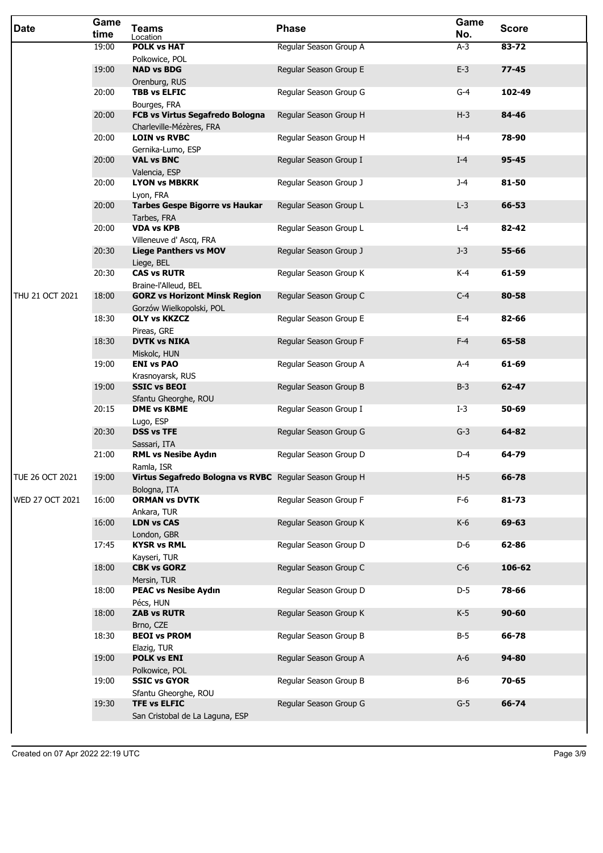| <b>Date</b>     | Game<br>time | <b>Teams</b><br>Location                                              | <b>Phase</b>           | Game<br>No. | <b>Score</b> |
|-----------------|--------------|-----------------------------------------------------------------------|------------------------|-------------|--------------|
|                 | 19:00        | <b>POLK vs HAT</b>                                                    | Regular Season Group A | $A-3$       | 83-72        |
|                 | 19:00        | Polkowice, POL<br><b>NAD vs BDG</b>                                   | Regular Season Group E | $E-3$       | $77 - 45$    |
|                 | 20:00        | Orenburg, RUS<br><b>TBB vs ELFIC</b>                                  | Regular Season Group G | $G-4$       | 102-49       |
|                 |              | Bourges, FRA                                                          |                        |             |              |
|                 | 20:00        | FCB vs Virtus Segafredo Bologna<br>Charleville-Mézères, FRA           | Regular Season Group H | $H-3$       | 84-46        |
|                 | 20:00        | <b>LOIN vs RVBC</b>                                                   | Regular Season Group H | $H-4$       | 78-90        |
|                 | 20:00        | Gernika-Lumo, ESP<br><b>VAL vs BNC</b>                                | Regular Season Group I | $I-4$       | 95-45        |
|                 | 20:00        | Valencia, ESP<br><b>LYON vs MBKRK</b>                                 | Regular Season Group J | $J-4$       | 81-50        |
|                 |              | Lyon, FRA                                                             |                        |             |              |
|                 | 20:00        | <b>Tarbes Gespe Bigorre vs Haukar</b><br>Tarbes, FRA                  | Regular Season Group L | $L-3$       | 66-53        |
|                 | 20:00        | <b>VDA vs KPB</b>                                                     | Regular Season Group L | $L - 4$     | 82-42        |
|                 | 20:30        | Villeneuve d' Ascq, FRA<br><b>Liege Panthers vs MOV</b><br>Liege, BEL | Regular Season Group J | $J-3$       | 55-66        |
|                 | 20:30        | <b>CAS vs RUTR</b>                                                    | Regular Season Group K | K-4         | 61-59        |
| THU 21 OCT 2021 | 18:00        | Braine-l'Alleud, BEL<br><b>GORZ vs Horizont Minsk Region</b>          | Regular Season Group C | $C-4$       | 80-58        |
|                 | 18:30        | Gorzów Wielkopolski, POL<br><b>OLY vs KKZCZ</b>                       | Regular Season Group E | $E-4$       | 82-66        |
|                 | 18:30        | Pireas, GRE<br><b>DVTK vs NIKA</b>                                    | Regular Season Group F | $F-4$       | 65-58        |
|                 | 19:00        | Miskolc, HUN<br><b>ENI vs PAO</b>                                     | Regular Season Group A | A-4         | 61-69        |
|                 | 19:00        | Krasnoyarsk, RUS<br><b>SSIC vs BEOI</b>                               | Regular Season Group B | $B-3$       | $62 - 47$    |
|                 | 20:15        | Sfantu Gheorghe, ROU<br><b>DME vs KBME</b>                            | Regular Season Group I | $I-3$       | 50-69        |
|                 | 20:30        | Lugo, ESP<br><b>DSS vs TFE</b>                                        | Regular Season Group G | $G-3$       | 64-82        |
|                 | 21:00        | Sassari, ITA<br><b>RML vs Nesibe Aydın</b>                            | Regular Season Group D | D-4         | 64-79        |
| TUE 26 OCT 2021 | 19:00        | Ramla, ISR<br>Virtus Segafredo Bologna vs RVBC Regular Season Group H |                        | $H-5$       | 66-78        |
|                 |              | Bologna, ITA                                                          |                        |             |              |
| WED 27 OCT 2021 | 16:00        | <b>ORMAN vs DVTK</b><br>Ankara, TUR                                   | Regular Season Group F | $F-6$       | $81 - 73$    |
|                 | 16:00        | <b>LDN vs CAS</b>                                                     | Regular Season Group K | $K-6$       | 69-63        |
|                 | 17:45        | London, GBR<br><b>KYSR vs RML</b>                                     | Regular Season Group D | D-6         | 62-86        |
|                 | 18:00        | Kayseri, TUR<br><b>CBK vs GORZ</b>                                    | Regular Season Group C | $C-6$       | 106-62       |
|                 |              | Mersin, TUR                                                           |                        |             |              |
|                 | 18:00        | <b>PEAC vs Nesibe Aydın</b><br>Pécs, HUN                              | Regular Season Group D | $D-5$       | 78-66        |
|                 | 18:00        | <b>ZAB vs RUTR</b>                                                    | Regular Season Group K | $K-5$       | $90 - 60$    |
|                 | 18:30        | Brno, CZE<br><b>BEOI vs PROM</b>                                      | Regular Season Group B | $B-5$       | 66-78        |
|                 | 19:00        | Elazig, TUR<br><b>POLK vs ENI</b>                                     | Regular Season Group A | $A-6$       | 94-80        |
|                 |              | Polkowice, POL                                                        |                        |             |              |
|                 | 19:00        | <b>SSIC vs GYOR</b><br>Sfantu Gheorghe, ROU                           | Regular Season Group B | B-6         | 70-65        |
|                 | 19:30        | <b>TFE vs ELFIC</b>                                                   | Regular Season Group G | $G-5$       | 66-74        |
|                 |              | San Cristobal de La Laguna, ESP                                       |                        |             |              |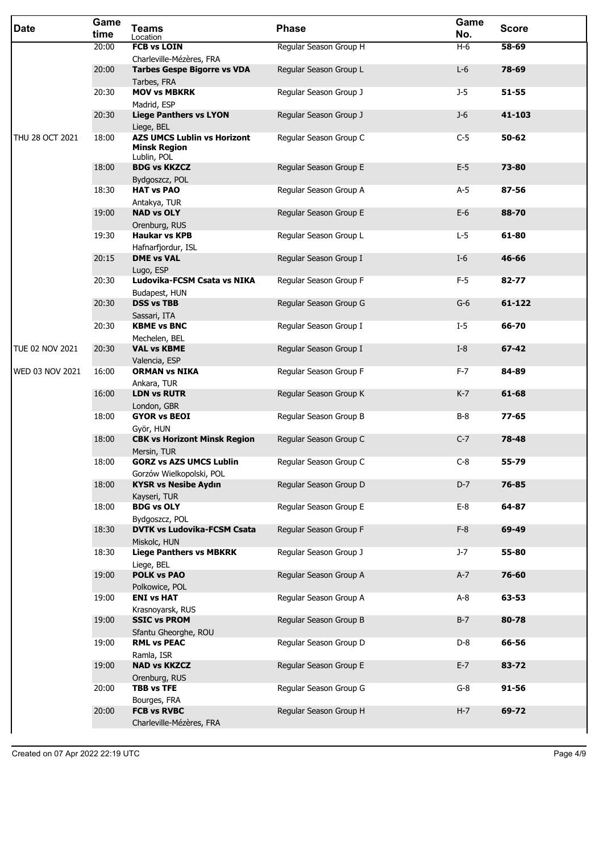| Date                   | Game<br>time | <b>Teams</b><br>Location                                                 | <b>Phase</b>           | Game<br>No. | <b>Score</b> |
|------------------------|--------------|--------------------------------------------------------------------------|------------------------|-------------|--------------|
|                        | 20:00        | <b>FCB vs LOIN</b>                                                       | Regular Season Group H | $H-6$       | 58-69        |
|                        | 20:00        | Charleville-Mézères, FRA<br><b>Tarbes Gespe Bigorre vs VDA</b>           | Regular Season Group L | $L-6$       | 78-69        |
|                        |              | Tarbes, FRA                                                              |                        |             |              |
|                        | 20:30        | <b>MOV vs MBKRK</b>                                                      | Regular Season Group J | $J-5$       | $51 - 55$    |
|                        |              | Madrid, ESP                                                              |                        | $J-6$       | 41-103       |
|                        | 20:30        | <b>Liege Panthers vs LYON</b><br>Liege, BEL                              | Regular Season Group J |             |              |
| THU 28 OCT 2021        | 18:00        | <b>AZS UMCS Lublin vs Horizont</b><br><b>Minsk Region</b><br>Lublin, POL | Regular Season Group C | $C-5$       | $50 - 62$    |
|                        | 18:00        | <b>BDG vs KKZCZ</b>                                                      | Regular Season Group E | $E-5$       | 73-80        |
|                        | 18:30        | Bydgoszcz, POL<br><b>HAT vs PAO</b>                                      | Regular Season Group A | $A-5$       | 87-56        |
|                        |              | Antakya, TUR                                                             |                        |             |              |
|                        | 19:00        | <b>NAD vs OLY</b>                                                        | Regular Season Group E | $E-6$       | 88-70        |
|                        |              | Orenburg, RUS                                                            |                        |             |              |
|                        | 19:30        | <b>Haukar vs KPB</b><br>Hafnarfjordur, ISL                               | Regular Season Group L | $L-5$       | 61-80        |
|                        | 20:15        | <b>DME vs VAL</b>                                                        | Regular Season Group I | $I-6$       | 46-66        |
|                        |              | Lugo, ESP                                                                |                        |             |              |
|                        | 20:30        | Ludovika-FCSM Csata vs NIKA                                              | Regular Season Group F | $F-5$       | 82-77        |
|                        | 20:30        | Budapest, HUN<br><b>DSS vs TBB</b>                                       | Regular Season Group G | $G-6$       | 61-122       |
|                        |              | Sassari, ITA                                                             |                        |             |              |
|                        | 20:30        | <b>KBME vs BNC</b>                                                       | Regular Season Group I | $I-5$       | 66-70        |
| <b>TUE 02 NOV 2021</b> | 20:30        | Mechelen, BEL<br><b>VAL vs KBME</b>                                      | Regular Season Group I | $I-8$       | $67 - 42$    |
|                        |              | Valencia, ESP                                                            |                        |             |              |
| WED 03 NOV 2021        | 16:00        | <b>ORMAN vs NIKA</b>                                                     | Regular Season Group F | $F-7$       | 84-89        |
|                        |              | Ankara, TUR                                                              |                        |             |              |
|                        | 16:00        | <b>LDN vs RUTR</b><br>London, GBR                                        | Regular Season Group K | $K-7$       | 61-68        |
|                        | 18:00        | <b>GYOR vs BEOI</b>                                                      | Regular Season Group B | $B-8$       | $77 - 65$    |
|                        |              | Györ, HUN                                                                |                        |             |              |
|                        | 18:00        | <b>CBK vs Horizont Minsk Region</b><br>Mersin, TUR                       | Regular Season Group C | $C-7$       | 78-48        |
|                        | 18:00        | <b>GORZ vs AZS UMCS Lublin</b>                                           | Regular Season Group C | $C-8$       | 55-79        |
|                        |              | Gorzów Wielkopolski, POL                                                 |                        |             |              |
|                        | 18:00        | <b>KYSR vs Nesibe Aydın</b>                                              | Regular Season Group D | $D-7$       | 76-85        |
|                        | 18:00        | Kayseri, TUR<br><b>BDG vs OLY</b>                                        | Regular Season Group E | $E-8$       | 64-87        |
|                        |              | Bydgoszcz, POL                                                           |                        |             |              |
|                        | 18:30        | <b>DVTK vs Ludovika-FCSM Csata</b>                                       | Regular Season Group F | $F-8$       | 69-49        |
|                        | 18:30        | Miskolc, HUN<br><b>Liege Panthers vs MBKRK</b>                           | Regular Season Group J | $J-7$       | 55-80        |
|                        |              | Liege, BEL                                                               |                        |             |              |
|                        | 19:00        | <b>POLK vs PAO</b>                                                       | Regular Season Group A | $A-7$       | 76-60        |
|                        |              | Polkowice, POL                                                           |                        |             |              |
|                        | 19:00        | <b>ENI vs HAT</b>                                                        | Regular Season Group A | $A-8$       | 63-53        |
|                        | 19:00        | Krasnoyarsk, RUS<br><b>SSIC vs PROM</b>                                  | Regular Season Group B | $B-7$       | 80-78        |
|                        |              | Sfantu Gheorghe, ROU                                                     |                        |             |              |
|                        | 19:00        | <b>RML vs PEAC</b>                                                       | Regular Season Group D | D-8         | 66-56        |
|                        | 19:00        | Ramla, ISR<br><b>NAD vs KKZCZ</b>                                        | Regular Season Group E | $E-7$       | 83-72        |
|                        |              | Orenburg, RUS                                                            |                        |             |              |
|                        | 20:00        | <b>TBB vs TFE</b>                                                        | Regular Season Group G | $G-8$       | $91 - 56$    |
|                        |              | Bourges, FRA                                                             |                        |             |              |
|                        | 20:00        | <b>FCB vs RVBC</b><br>Charleville-Mézères, FRA                           | Regular Season Group H | $H-7$       | 69-72        |
|                        |              |                                                                          |                        |             |              |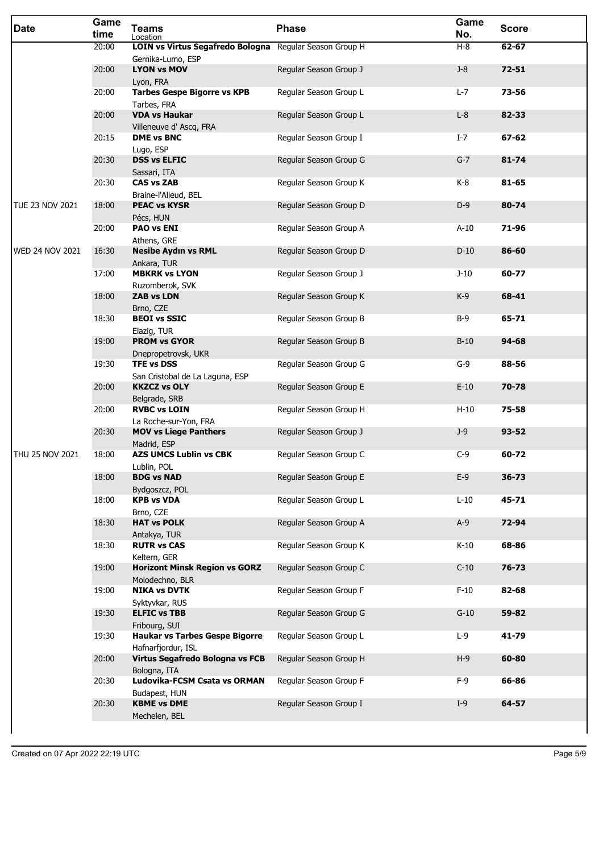| <b>Date</b>            | Game<br>time | <b>Teams</b><br>Location                                                     | <b>Phase</b>           | Game<br>No. | <b>Score</b> |
|------------------------|--------------|------------------------------------------------------------------------------|------------------------|-------------|--------------|
|                        | 20:00        | LOIN vs Virtus Segafredo Bologna Regular Season Group H<br>Gernika-Lumo, ESP |                        | $H-8$       | 62-67        |
|                        | 20:00        | <b>LYON vs MOV</b><br>Lyon, FRA                                              | Regular Season Group J | $J-8$       | $72 - 51$    |
|                        | 20:00        | <b>Tarbes Gespe Bigorre vs KPB</b><br>Tarbes, FRA                            | Regular Season Group L | $L-7$       | 73-56        |
|                        | 20:00        | <b>VDA vs Haukar</b><br>Villeneuve d' Ascq, FRA                              | Regular Season Group L | $L-8$       | 82-33        |
|                        | 20:15        | <b>DME vs BNC</b><br>Lugo, ESP                                               | Regular Season Group I | $I-7$       | $67 - 62$    |
|                        | 20:30        | <b>DSS vs ELFIC</b><br>Sassari, ITA                                          | Regular Season Group G | $G-7$       | $81 - 74$    |
|                        | 20:30        | <b>CAS vs ZAB</b><br>Braine-l'Alleud, BEL                                    | Regular Season Group K | $K-8$       | 81-65        |
| <b>TUE 23 NOV 2021</b> | 18:00        | <b>PEAC vs KYSR</b><br>Pécs, HUN                                             | Regular Season Group D | $D-9$       | 80-74        |
|                        | 20:00        | <b>PAO vs ENI</b><br>Athens, GRE                                             | Regular Season Group A | $A-10$      | 71-96        |
| <b>WED 24 NOV 2021</b> | 16:30        | <b>Nesibe Aydın vs RML</b><br>Ankara, TUR                                    | Regular Season Group D | $D-10$      | 86-60        |
|                        | 17:00        | <b>MBKRK vs LYON</b><br>Ruzomberok, SVK                                      | Regular Season Group J | $J-10$      | 60-77        |
|                        | 18:00        | <b>ZAB vs LDN</b><br>Brno, CZE                                               | Regular Season Group K | $K-9$       | 68-41        |
|                        | 18:30        | <b>BEOI vs SSIC</b><br>Elazig, TUR                                           | Regular Season Group B | $B-9$       | 65-71        |
|                        | 19:00        | <b>PROM vs GYOR</b><br>Dnepropetrovsk, UKR                                   | Regular Season Group B | $B-10$      | $94 - 68$    |
|                        | 19:30        | <b>TFE vs DSS</b><br>San Cristobal de La Laguna, ESP                         | Regular Season Group G | $G-9$       | 88-56        |
|                        | 20:00        | <b>KKZCZ vs OLY</b><br>Belgrade, SRB                                         | Regular Season Group E | $E-10$      | 70-78        |
|                        | 20:00        | <b>RVBC vs LOIN</b><br>La Roche-sur-Yon, FRA                                 | Regular Season Group H | $H-10$      | 75-58        |
|                        | 20:30        | <b>MOV vs Liege Panthers</b><br>Madrid, ESP                                  | Regular Season Group J | $J-9$       | $93 - 52$    |
| THU 25 NOV 2021        | 18:00        | <b>AZS UMCS Lublin vs CBK</b><br>Lublin, POL                                 | Regular Season Group C | C-9         | 60-72        |
|                        | 18:00        | <b>BDG vs NAD</b><br>Bydgoszcz, POL                                          | Regular Season Group E | $E-9$       | $36 - 73$    |
|                        | 18:00        | <b>KPB vs VDA</b><br>Brno, CZE                                               | Regular Season Group L | $L-10$      | 45-71        |
|                        | 18:30        | <b>HAT vs POLK</b><br>Antakya, TUR                                           | Regular Season Group A | $A-9$       | 72-94        |
|                        | 18:30        | <b>RUTR vs CAS</b><br>Keltern, GER                                           | Regular Season Group K | $K-10$      | 68-86        |
|                        | 19:00        | <b>Horizont Minsk Region vs GORZ</b><br>Molodechno, BLR                      | Regular Season Group C | $C-10$      | 76-73        |
|                        | 19:00        | <b>NIKA vs DVTK</b><br>Syktyvkar, RUS                                        | Regular Season Group F | $F-10$      | 82-68        |
|                        | 19:30        | <b>ELFIC vs TBB</b><br>Fribourg, SUI                                         | Regular Season Group G | $G-10$      | 59-82        |
|                        | 19:30        | <b>Haukar vs Tarbes Gespe Bigorre</b><br>Hafnarfjordur, ISL                  | Regular Season Group L | $L-9$       | 41-79        |
|                        | 20:00        | Virtus Segafredo Bologna vs FCB<br>Bologna, ITA                              | Regular Season Group H | $H-9$       | 60-80        |
|                        | 20:30        | Ludovika-FCSM Csata vs ORMAN<br>Budapest, HUN                                | Regular Season Group F | $F-9$       | 66-86        |
|                        | 20:30        | <b>KBME vs DME</b><br>Mechelen, BEL                                          | Regular Season Group I | $I-9$       | 64-57        |
|                        |              |                                                                              |                        |             |              |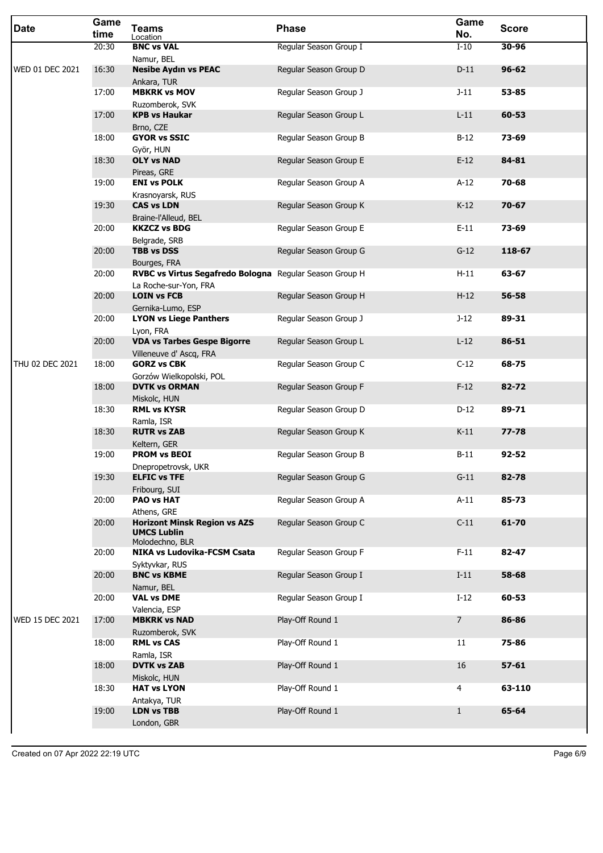| <b>Date</b>            | Game<br>time | <b>Teams</b><br>Location                                                     | <b>Phase</b>           | Game<br>No.    | <b>Score</b> |
|------------------------|--------------|------------------------------------------------------------------------------|------------------------|----------------|--------------|
|                        | 20:30        | <b>BNC vs VAL</b>                                                            | Regular Season Group I | $I-10$         | 30-96        |
| <b>WED 01 DEC 2021</b> | 16:30        | Namur, BEL<br><b>Nesibe Aydın vs PEAC</b><br>Ankara, TUR                     | Regular Season Group D | $D-11$         | $96 - 62$    |
|                        | 17:00        | <b>MBKRK vs MOV</b>                                                          | Regular Season Group J | $J-11$         | 53-85        |
|                        | 17:00        | Ruzomberok, SVK<br><b>KPB vs Haukar</b><br>Brno, CZE                         | Regular Season Group L | $L-11$         | 60-53        |
|                        | 18:00        | <b>GYOR vs SSIC</b><br>Györ, HUN                                             | Regular Season Group B | $B-12$         | 73-69        |
|                        | 18:30        | <b>OLY vs NAD</b><br>Pireas, GRE                                             | Regular Season Group E | $E-12$         | 84-81        |
|                        | 19:00        | <b>ENI vs POLK</b><br>Krasnoyarsk, RUS                                       | Regular Season Group A | $A-12$         | 70-68        |
|                        | 19:30        | <b>CAS vs LDN</b><br>Braine-l'Alleud, BEL                                    | Regular Season Group K | $K-12$         | $70 - 67$    |
|                        | 20:00        | <b>KKZCZ vs BDG</b><br>Belgrade, SRB                                         | Regular Season Group E | $E-11$         | 73-69        |
|                        | 20:00        | <b>TBB vs DSS</b>                                                            | Regular Season Group G | $G-12$         | 118-67       |
|                        | 20:00        | Bourges, FRA<br>RVBC vs Virtus Segafredo Bologna Regular Season Group H      |                        | $H-11$         | 63-67        |
|                        | 20:00        | La Roche-sur-Yon, FRA<br><b>LOIN vs FCB</b><br>Gernika-Lumo, ESP             | Regular Season Group H | $H-12$         | 56-58        |
|                        | 20:00        | <b>LYON vs Liege Panthers</b><br>Lyon, FRA                                   | Regular Season Group J | $J-12$         | 89-31        |
|                        | 20:00        | <b>VDA vs Tarbes Gespe Bigorre</b><br>Villeneuve d' Ascq, FRA                | Regular Season Group L | $L-12$         | 86-51        |
| THU 02 DEC 2021        | 18:00        | <b>GORZ vs CBK</b><br>Gorzów Wielkopolski, POL                               | Regular Season Group C | $C-12$         | 68-75        |
|                        | 18:00        | <b>DVTK vs ORMAN</b><br>Miskolc, HUN                                         | Regular Season Group F | $F-12$         | 82-72        |
|                        | 18:30        | <b>RML vs KYSR</b><br>Ramla, ISR                                             | Regular Season Group D | $D-12$         | 89-71        |
|                        | 18:30        | <b>RUTR vs ZAB</b><br>Keltern, GER                                           | Regular Season Group K | $K-11$         | $77 - 78$    |
|                        | 19:00        | <b>PROM vs BEOI</b><br>Dnepropetrovsk, UKR                                   | Regular Season Group B | $B-11$         | $92 - 52$    |
|                        | 19:30        | <b>ELFIC vs TFE</b><br>Fribourg, SUI                                         | Regular Season Group G | $G-11$         | 82-78        |
|                        | 20:00        | <b>PAO vs HAT</b><br>Athens, GRE                                             | Regular Season Group A | $A-11$         | 85-73        |
|                        | 20:00        | <b>Horizont Minsk Region vs AZS</b><br><b>UMCS Lublin</b><br>Molodechno, BLR | Regular Season Group C | $C-11$         | 61-70        |
|                        | 20:00        | <b>NIKA vs Ludovika-FCSM Csata</b><br>Syktyvkar, RUS                         | Regular Season Group F | $F-11$         | 82-47        |
|                        | 20:00        | <b>BNC vs KBME</b><br>Namur, BEL                                             | Regular Season Group I | $I-11$         | 58-68        |
|                        | 20:00        | <b>VAL vs DME</b><br>Valencia, ESP                                           | Regular Season Group I | $I-12$         | 60-53        |
| WED 15 DEC 2021        | 17:00        | <b>MBKRK vs NAD</b><br>Ruzomberok, SVK                                       | Play-Off Round 1       | $\overline{7}$ | 86-86        |
|                        | 18:00        | <b>RML vs CAS</b><br>Ramla, ISR                                              | Play-Off Round 1       | 11             | 75-86        |
|                        | 18:00        | <b>DVTK vs ZAB</b>                                                           | Play-Off Round 1       | 16             | $57 - 61$    |
|                        | 18:30        | Miskolc, HUN<br><b>HAT vs LYON</b>                                           | Play-Off Round 1       | 4              | 63-110       |
|                        | 19:00        | Antakya, TUR<br><b>LDN vs TBB</b><br>London, GBR                             | Play-Off Round 1       | $\mathbf{1}$   | 65-64        |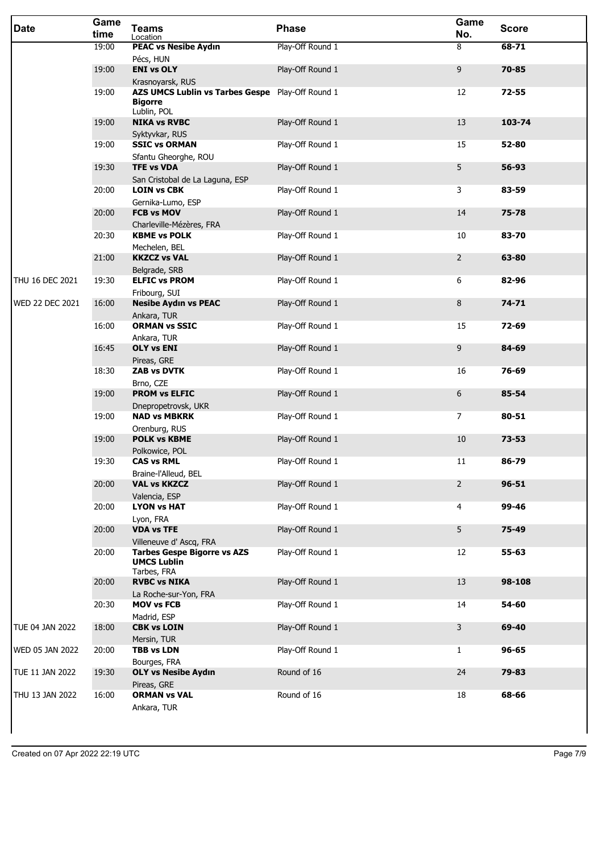| <b>Date</b>            | Game<br>time | <b>Teams</b><br>Location                                                          | <b>Phase</b>     | Game<br>No.    | <b>Score</b> |
|------------------------|--------------|-----------------------------------------------------------------------------------|------------------|----------------|--------------|
|                        | 19:00        | <b>PEAC vs Nesibe Aydın</b><br>Pécs, HUN                                          | Play-Off Round 1 | 8              | $68 - 71$    |
|                        | 19:00        | <b>ENI vs OLY</b><br>Krasnoyarsk, RUS                                             | Play-Off Round 1 | 9              | 70-85        |
|                        | 19:00        | AZS UMCS Lublin vs Tarbes Gespe Play-Off Round 1<br><b>Bigorre</b><br>Lublin, POL |                  | 12             | $72 - 55$    |
|                        | 19:00        | <b>NIKA vs RVBC</b><br>Syktyvkar, RUS                                             | Play-Off Round 1 | 13             | 103-74       |
|                        | 19:00        | <b>SSIC vs ORMAN</b><br>Sfantu Gheorghe, ROU                                      | Play-Off Round 1 | 15             | 52-80        |
|                        | 19:30        | <b>TFE vs VDA</b><br>San Cristobal de La Laguna, ESP                              | Play-Off Round 1 | 5              | 56-93        |
|                        | 20:00        | <b>LOIN vs CBK</b>                                                                | Play-Off Round 1 | 3              | 83-59        |
|                        | 20:00        | Gernika-Lumo, ESP<br><b>FCB vs MOV</b>                                            | Play-Off Round 1 | 14             | 75-78        |
|                        | 20:30        | Charleville-Mézères, FRA<br><b>KBME vs POLK</b>                                   | Play-Off Round 1 | 10             | 83-70        |
|                        | 21:00        | Mechelen, BEL<br><b>KKZCZ vs VAL</b><br>Belgrade, SRB                             | Play-Off Round 1 | $\overline{2}$ | 63-80        |
| THU 16 DEC 2021        | 19:30        | <b>ELFIC vs PROM</b><br>Fribourg, SUI                                             | Play-Off Round 1 | 6              | 82-96        |
| <b>WED 22 DEC 2021</b> | 16:00        | <b>Nesibe Aydın vs PEAC</b><br>Ankara, TUR                                        | Play-Off Round 1 | 8              | $74 - 71$    |
|                        | 16:00        | <b>ORMAN vs SSIC</b><br>Ankara, TUR                                               | Play-Off Round 1 | 15             | 72-69        |
|                        | 16:45        | <b>OLY vs ENI</b><br>Pireas, GRE                                                  | Play-Off Round 1 | 9              | 84-69        |
|                        | 18:30        | ZAB vs DVTK<br>Brno, CZE                                                          | Play-Off Round 1 | 16             | 76-69        |
|                        | 19:00        | <b>PROM vs ELFIC</b><br>Dnepropetrovsk, UKR                                       | Play-Off Round 1 | 6              | 85-54        |
|                        | 19:00        | <b>NAD vs MBKRK</b><br>Orenburg, RUS                                              | Play-Off Round 1 | $\overline{7}$ | 80-51        |
|                        | 19:00        | <b>POLK vs KBME</b><br>Polkowice, POL                                             | Play-Off Round 1 | 10             | $73 - 53$    |
|                        | 19:30        | <b>CAS vs RML</b><br>Braine-l'Alleud, BEL                                         | Play-Off Round 1 | 11             | 86-79        |
|                        | 20:00        | <b>VAL vs KKZCZ</b><br>Valencia, ESP                                              | Play-Off Round 1 | $\overline{2}$ | $96 - 51$    |
|                        | 20:00        | <b>LYON vs HAT</b><br>Lyon, FRA                                                   | Play-Off Round 1 | $\overline{4}$ | 99-46        |
|                        | 20:00        | <b>VDA vs TFE</b><br>Villeneuve d' Ascq, FRA                                      | Play-Off Round 1 | 5              | 75-49        |
|                        | 20:00        | <b>Tarbes Gespe Bigorre vs AZS</b><br><b>UMCS Lublin</b><br>Tarbes, FRA           | Play-Off Round 1 | 12             | 55-63        |
|                        | 20:00        | <b>RVBC vs NIKA</b><br>La Roche-sur-Yon, FRA                                      | Play-Off Round 1 | 13             | 98-108       |
|                        | 20:30        | <b>MOV vs FCB</b><br>Madrid, ESP                                                  | Play-Off Round 1 | 14             | 54-60        |
| TUE 04 JAN 2022        | 18:00        | <b>CBK vs LOIN</b><br>Mersin, TUR                                                 | Play-Off Round 1 | $\mathsf{3}$   | 69-40        |
| WED 05 JAN 2022        | 20:00        | <b>TBB vs LDN</b><br>Bourges, FRA                                                 | Play-Off Round 1 | $\mathbf{1}$   | 96-65        |
| TUE 11 JAN 2022        | 19:30        | <b>OLY vs Nesibe Aydın</b><br>Pireas, GRE                                         | Round of 16      | 24             | 79-83        |
| THU 13 JAN 2022        | 16:00        | <b>ORMAN vs VAL</b><br>Ankara, TUR                                                | Round of 16      | 18             | 68-66        |

 $\overline{\phantom{a}}$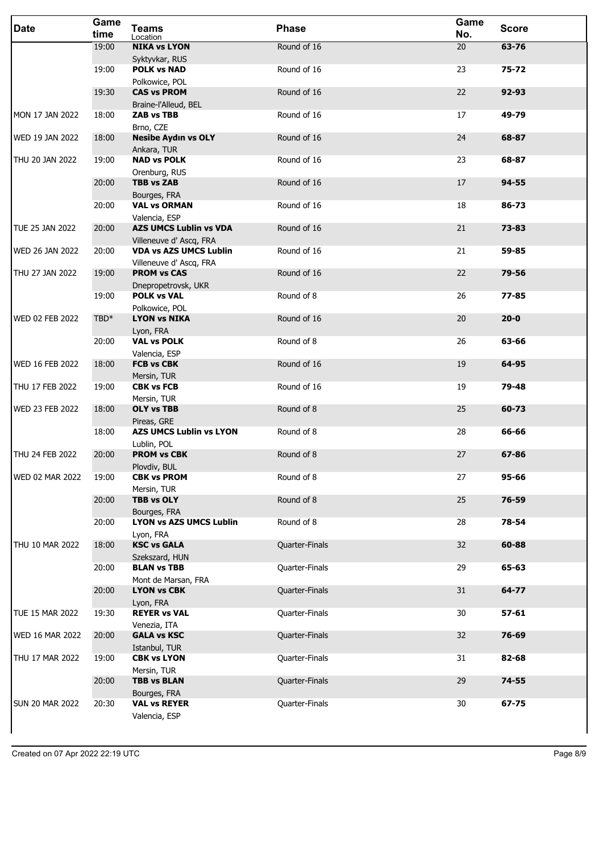| <b>Date</b>            | Game<br>time | <b>Teams</b><br>Location                                 | <b>Phase</b>   | Game<br>No. | <b>Score</b> |
|------------------------|--------------|----------------------------------------------------------|----------------|-------------|--------------|
|                        | 19:00        | <b>NIKA vs LYON</b>                                      | Round of 16    | 20          | 63-76        |
|                        | 19:00        | Syktyvkar, RUS<br><b>POLK vs NAD</b>                     | Round of 16    | 23          | $75 - 72$    |
|                        |              | Polkowice, POL                                           |                |             |              |
|                        | 19:30        | <b>CAS vs PROM</b>                                       | Round of 16    | 22          | 92-93        |
| MON 17 JAN 2022        | 18:00        | Braine-l'Alleud, BEL<br><b>ZAB vs TBB</b>                | Round of 16    | 17          | 49-79        |
|                        |              | Brno, CZE                                                |                |             |              |
| <b>WED 19 JAN 2022</b> | 18:00        | <b>Nesibe Aydın vs OLY</b>                               | Round of 16    | 24          | 68-87        |
| THU 20 JAN 2022        | 19:00        | Ankara, TUR<br><b>NAD vs POLK</b>                        | Round of 16    | 23          | 68-87        |
|                        |              | Orenburg, RUS                                            |                |             |              |
|                        | 20:00        | <b>TBB vs ZAB</b>                                        | Round of 16    | 17          | 94-55        |
|                        | 20:00        | Bourges, FRA<br><b>VAL vs ORMAN</b>                      | Round of 16    | 18          | 86-73        |
|                        |              | Valencia, ESP                                            |                |             |              |
| TUE 25 JAN 2022        | 20:00        | <b>AZS UMCS Lublin vs VDA</b>                            | Round of 16    | 21          | 73-83        |
| <b>WED 26 JAN 2022</b> | 20:00        | Villeneuve d' Ascq, FRA<br><b>VDA vs AZS UMCS Lublin</b> | Round of 16    | 21          | 59-85        |
|                        |              | Villeneuve d' Ascq, FRA                                  |                |             |              |
| THU 27 JAN 2022        | 19:00        | <b>PROM vs CAS</b>                                       | Round of 16    | 22          | 79-56        |
|                        | 19:00        | Dnepropetrovsk, UKR<br><b>POLK vs VAL</b>                | Round of 8     | 26          | 77-85        |
|                        |              | Polkowice, POL                                           |                |             |              |
| <b>WED 02 FEB 2022</b> | TBD*         | <b>LYON vs NIKA</b>                                      | Round of 16    | 20          | $20 - 0$     |
|                        | 20:00        | Lyon, FRA<br><b>VAL vs POLK</b>                          | Round of 8     | 26          | 63-66        |
|                        |              | Valencia, ESP                                            |                |             |              |
| <b>WED 16 FEB 2022</b> | 18:00        | <b>FCB vs CBK</b>                                        | Round of 16    | 19          | 64-95        |
| THU 17 FEB 2022        | 19:00        | Mersin, TUR<br><b>CBK vs FCB</b>                         | Round of 16    | 19          | 79-48        |
|                        |              | Mersin, TUR                                              |                |             |              |
| <b>WED 23 FEB 2022</b> | 18:00        | <b>OLY vs TBB</b>                                        | Round of 8     | 25          | 60-73        |
|                        | 18:00        | Pireas, GRE<br><b>AZS UMCS Lublin vs LYON</b>            | Round of 8     | 28          | 66-66        |
|                        |              | Lublin, POL                                              |                |             |              |
| THU 24 FEB 2022        | 20:00        | <b>PROM vs CBK</b><br>Plovdiv, BUL                       | Round of 8     | 27          | 67-86        |
| <b>WED 02 MAR 2022</b> | 19:00        | <b>CBK vs PROM</b>                                       | Round of 8     | 27          | 95-66        |
|                        |              | Mersin, TUR                                              |                |             |              |
|                        | 20:00        | <b>TBB vs OLY</b>                                        | Round of 8     | 25          | 76-59        |
|                        | 20:00        | Bourges, FRA<br><b>LYON vs AZS UMCS Lublin</b>           | Round of 8     | 28          | 78-54        |
|                        |              | Lyon, FRA                                                |                |             |              |
| THU 10 MAR 2022        | 18:00        | <b>KSC vs GALA</b>                                       | Quarter-Finals | 32          | 60-88        |
|                        | 20:00        | Szekszard, HUN<br><b>BLAN vs TBB</b>                     | Quarter-Finals | 29          | 65-63        |
|                        |              | Mont de Marsan, FRA                                      |                |             |              |
|                        | 20:00        | <b>LYON vs CBK</b>                                       | Quarter-Finals | 31          | 64-77        |
| TUE 15 MAR 2022        | 19:30        | Lyon, FRA<br><b>REYER vs VAL</b>                         | Quarter-Finals | 30          | $57 - 61$    |
|                        |              | Venezia, ITA                                             |                |             |              |
| <b>WED 16 MAR 2022</b> | 20:00        | <b>GALA vs KSC</b>                                       | Quarter-Finals | 32          | 76-69        |
| THU 17 MAR 2022        | 19:00        | Istanbul, TUR<br><b>CBK vs LYON</b>                      | Quarter-Finals | 31          | 82-68        |
|                        |              | Mersin, TUR                                              |                |             |              |
|                        | 20:00        | <b>TBB vs BLAN</b>                                       | Quarter-Finals | 29          | 74-55        |
| <b>SUN 20 MAR 2022</b> | 20:30        | Bourges, FRA<br><b>VAL vs REYER</b>                      | Quarter-Finals | 30          | 67-75        |
|                        |              | Valencia, ESP                                            |                |             |              |
|                        |              |                                                          |                |             |              |